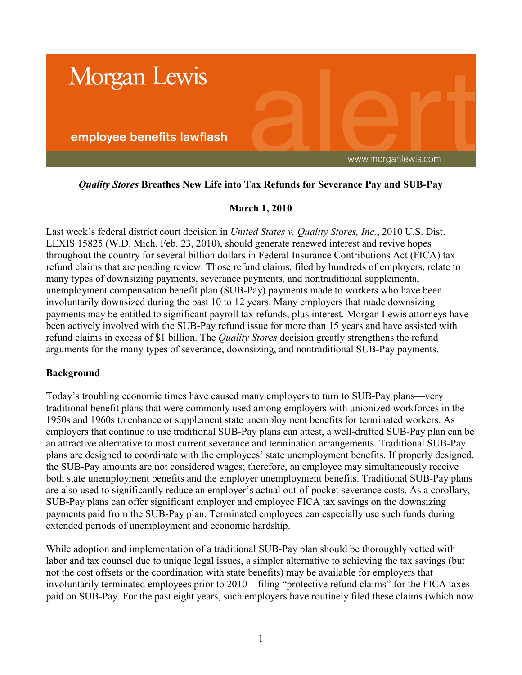

# *Quality Stores* **Breathes New Life into Tax Refunds for Severance Pay and SUB-Pay**

# **March 1, 2010**

Last week's federal district court decision in *United States v. Quality Stores, Inc.*, 2010 U.S. Dist. LEXIS 15825 (W.D. Mich. Feb. 23, 2010), should generate renewed interest and revive hopes throughout the country for several billion dollars in Federal Insurance Contributions Act (FICA) tax refund claims that are pending review. Those refund claims, filed by hundreds of employers, relate to many types of downsizing payments, severance payments, and nontraditional supplemental unemployment compensation benefit plan (SUB-Pay) payments made to workers who have been involuntarily downsized during the past 10 to 12 years. Many employers that made downsizing payments may be entitled to significant payroll tax refunds, plus interest. Morgan Lewis attorneys have been actively involved with the SUB-Pay refund issue for more than 15 years and have assisted with refund claims in excess of \$1 billion. The *Quality Stores* decision greatly strengthens the refund arguments for the many types of severance, downsizing, and nontraditional SUB-Pay payments.

#### **Background**

Today's troubling economic times have caused many employers to turn to SUB-Pay plans—very traditional benefit plans that were commonly used among employers with unionized workforces in the 1950s and 1960s to enhance or supplement state unemployment benefits for terminated workers. As employers that continue to use traditional SUB-Pay plans can attest, a well-drafted SUB-Pay plan can be an attractive alternative to most current severance and termination arrangements. Traditional SUB-Pay plans are designed to coordinate with the employees' state unemployment benefits. If properly designed, the SUB-Pay amounts are not considered wages; therefore, an employee may simultaneously receive both state unemployment benefits and the employer unemployment benefits. Traditional SUB-Pay plans are also used to significantly reduce an employer's actual out-of-pocket severance costs. As a corollary, SUB-Pay plans can offer significant employer and employee FICA tax savings on the downsizing payments paid from the SUB-Pay plan. Terminated employees can especially use such funds during extended periods of unemployment and economic hardship.

While adoption and implementation of a traditional SUB-Pay plan should be thoroughly vetted with labor and tax counsel due to unique legal issues, a simpler alternative to achieving the tax savings (but not the cost offsets or the coordination with state benefits) may be available for employers that involuntarily terminated employees prior to 2010—filing "protective refund claims" for the FICA taxes paid on SUB-Pay. For the past eight years, such employers have routinely filed these claims (which now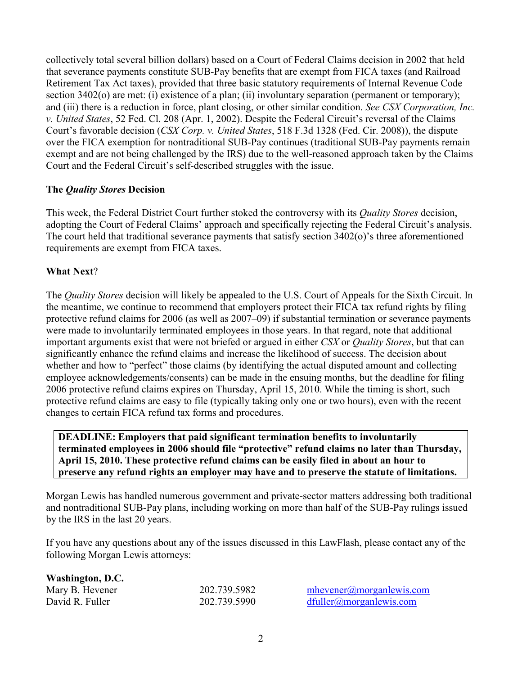collectively total several billion dollars) based on a Court of Federal Claims decision in 2002 that held that severance payments constitute SUB-Pay benefits that are exempt from FICA taxes (and Railroad Retirement Tax Act taxes), provided that three basic statutory requirements of Internal Revenue Code section 3402(o) are met: (i) existence of a plan; (ii) involuntary separation (permanent or temporary); and (iii) there is a reduction in force, plant closing, or other similar condition. *See CSX Corporation, Inc. v. United States*, 52 Fed. Cl. 208 (Apr. 1, 2002). Despite the Federal Circuit's reversal of the Claims Court's favorable decision (*CSX Corp. v. United States*, 518 F.3d 1328 (Fed. Cir. 2008)), the dispute over the FICA exemption for nontraditional SUB-Pay continues (traditional SUB-Pay payments remain exempt and are not being challenged by the IRS) due to the well-reasoned approach taken by the Claims Court and the Federal Circuit's self-described struggles with the issue.

## **The** *Quality Stores* **Decision**

This week, the Federal District Court further stoked the controversy with its *Quality Stores* decision, adopting the Court of Federal Claims' approach and specifically rejecting the Federal Circuit's analysis. The court held that traditional severance payments that satisfy section 3402(o)'s three aforementioned requirements are exempt from FICA taxes.

### **What Next**?

The *Quality Stores* decision will likely be appealed to the U.S. Court of Appeals for the Sixth Circuit. In the meantime, we continue to recommend that employers protect their FICA tax refund rights by filing protective refund claims for 2006 (as well as 2007–09) if substantial termination or severance payments were made to involuntarily terminated employees in those years. In that regard, note that additional important arguments exist that were not briefed or argued in either *CSX* or *Quality Stores*, but that can significantly enhance the refund claims and increase the likelihood of success. The decision about whether and how to "perfect" those claims (by identifying the actual disputed amount and collecting employee acknowledgements/consents) can be made in the ensuing months, but the deadline for filing 2006 protective refund claims expires on Thursday, April 15, 2010. While the timing is short, such protective refund claims are easy to file (typically taking only one or two hours), even with the recent changes to certain FICA refund tax forms and procedures.

### **DEADLINE: Employers that paid significant termination benefits to involuntarily terminated employees in 2006 should file "protective" refund claims no later than Thursday, April 15, 2010. These protective refund claims can be easily filed in about an hour to preserve any refund rights an employer may have and to preserve the statute of limitations.**

Morgan Lewis has handled numerous government and private-sector matters addressing both traditional and nontraditional SUB-Pay plans, including working on more than half of the SUB-Pay rulings issued by the IRS in the last 20 years.

If you have any questions about any of the issues discussed in this LawFlash, please contact any of the following Morgan Lewis attorneys:

| Washington, D.C. |              |                             |
|------------------|--------------|-----------------------------|
| Mary B. Hevener  | 202.739.5982 | $m$ hevener@morganlewis.com |
| David R. Fuller  | 202.739.5990 | dfuller@morganlewis.com     |